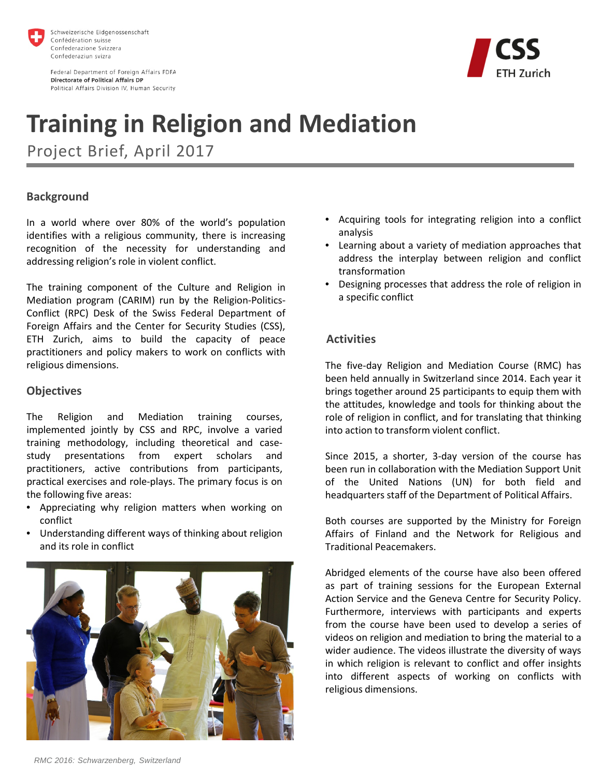

Federal Department of Foreign Affairs FDFA **Directorate of Political Affairs DP** Political Affairs Division IV, Human Security



# **Training in Religion and Mediation**

Project Brief, April 2017

### **Background**

In a world where over 80% of the world's population identifies with a religious community, there is increasing recognition of the necessity for understanding and addressing religion's role in violent conflict.

The training component of the Culture and Religion in Mediation program (CARIM) run by the Religion-Politics-Conflict (RPC) Desk of the Swiss Federal Department of Foreign Affairs and the Center for Security Studies (CSS), ETH Zurich, aims to build the capacity of peace practitioners and policy makers to work on conflicts with religious dimensions.

#### **Objectives**

The Religion and Mediation training courses, implemented jointly by CSS and RPC, involve a varied training methodology, including theoretical and casestudy presentations from expert scholars and practitioners, active contributions from participants, practical exercises and role-plays. The primary focus is on the following five areas:

- Appreciating why religion matters when working on conflict
- Understanding different ways of thinking about religion and its role in conflict



- Acquiring tools for integrating religion into a conflict analysis
- Learning about a variety of mediation approaches that address the interplay between religion and conflict transformation
- Designing processes that address the role of religion in a specific conflict

#### **Activities**

The five-day Religion and Mediation Course (RMC) has been held annually in Switzerland since 2014. Each year it brings together around 25 participants to equip them with the attitudes, knowledge and tools for thinking about the role of religion in conflict, and for translating that thinking into action to transform violent conflict.

Since 2015, a shorter, 3-day version of the course has been run in collaboration with the Mediation Support Unit of the United Nations (UN) for both field and headquarters staff of the Department of Political Affairs.

Both courses are supported by the Ministry for Foreign Affairs of Finland and the Network for Religious and Traditional Peacemakers.

Abridged elements of the course have also been offered as part of training sessions for the European External Action Service and the Geneva Centre for Security Policy. Furthermore, interviews with participants and experts from the course have been used to develop a series of videos on religion and mediation to bring the material to a wider audience. The videos illustrate the diversity of ways in which religion is relevant to conflict and offer insights into different aspects of working on conflicts with religious dimensions.